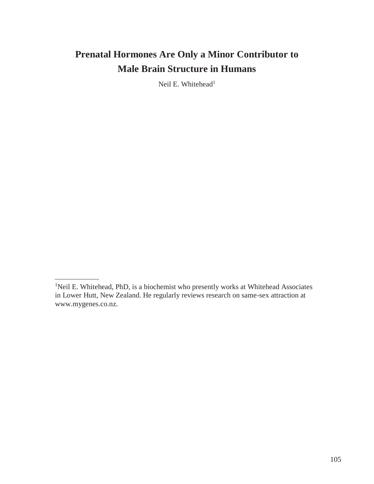Neil E. Whitehead<sup>1</sup>

<sup>&</sup>lt;sup>1</sup>Neil E. Whitehead, PhD, is a biochemist who presently works at Whitehead Associates in Lower Hutt, New Zealand. He regularly reviews research on same-sex attraction at [www.mygenes.co.nz.](http://www.mygenes.co.nz/)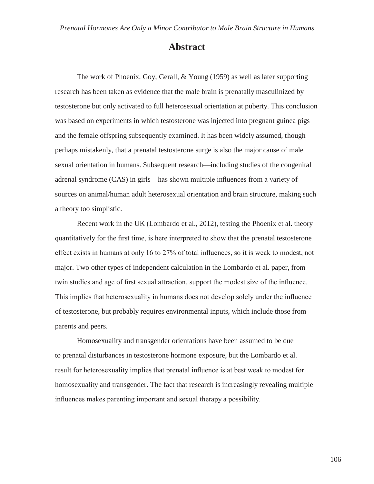# **Abstract**

The work of Phoenix, Goy, Gerall, & Young (1959) as well as later supporting research has been taken as evidence that the male brain is prenatally masculinized by testosterone but only activated to full heterosexual orientation at puberty. This conclusion was based on experiments in which testosterone was injected into pregnant guinea pigs and the female offspring subsequently examined. It has been widely assumed, though perhaps mistakenly, that a prenatal testosterone surge is also the major cause of male sexual orientation in humans. Subsequent research—including studies of the congenital adrenal syndrome (CAS) in girls—has shown multiple influences from a variety of sources on animal/human adult heterosexual orientation and brain structure, making such a theory too simplistic.

Recent work in the UK (Lombardo et al., 2012), testing the Phoenix et al. theory quantitatively for the first time, is here interpreted to show that the prenatal testosterone effect exists in humans at only 16 to 27% of total influences, so it is weak to modest, not major. Two other types of independent calculation in the Lombardo et al. paper, from twin studies and age of first sexual attraction, support the modest size of the influence. This implies that heterosexuality in humans does not develop solely under the influence of testosterone, but probably requires environmental inputs, which include those from parents and peers.

Homosexuality and transgender orientations have been assumed to be due to prenatal disturbances in testosterone hormone exposure, but the Lombardo et al. result for heterosexuality implies that prenatal influence is at best weak to modest for homosexuality and transgender. The fact that research is increasingly revealing multiple influences makes parenting important and sexual therapy a possibility.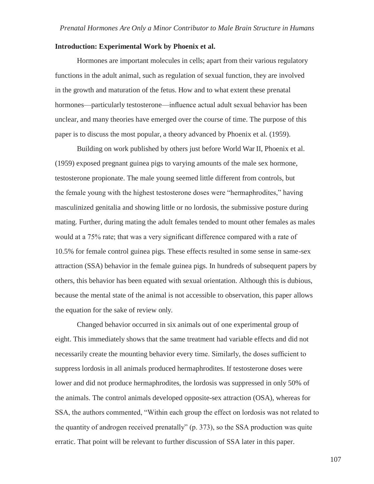#### **Introduction: Experimental Work by Phoenix et al.**

Hormones are important molecules in cells; apart from their various regulatory functions in the adult animal, such as regulation of sexual function, they are involved in the growth and maturation of the fetus. How and to what extent these prenatal hormones—particularly testosterone—influence actual adult sexual behavior has been unclear, and many theories have emerged over the course of time. The purpose of this paper is to discuss the most popular, a theory advanced by Phoenix et al. (1959).

Building on work published by others just before World War II, Phoenix et al. (1959) exposed pregnant guinea pigs to varying amounts of the male sex hormone, testosterone propionate. The male young seemed little different from controls, but the female young with the highest testosterone doses were "hermaphrodites," having masculinized genitalia and showing little or no lordosis, the submissive posture during mating. Further, during mating the adult females tended to mount other females as males would at a 75% rate; that was a very significant difference compared with a rate of 10.5% for female control guinea pigs. These effects resulted in some sense in same-sex attraction (SSA) behavior in the female guinea pigs. In hundreds of subsequent papers by others, this behavior has been equated with sexual orientation. Although this is dubious, because the mental state of the animal is not accessible to observation, this paper allows the equation for the sake of review only.

Changed behavior occurred in six animals out of one experimental group of eight. This immediately shows that the same treatment had variable effects and did not necessarily create the mounting behavior every time. Similarly, the doses sufficient to suppress lordosis in all animals produced hermaphrodites. If testosterone doses were lower and did not produce hermaphrodites, the lordosis was suppressed in only 50% of the animals. The control animals developed opposite-sex attraction (OSA), whereas for SSA, the authors commented, "Within each group the effect on lordosis was not related to the quantity of androgen received prenatally" (p. 373), so the SSA production was quite erratic. That point will be relevant to further discussion of SSA later in this paper.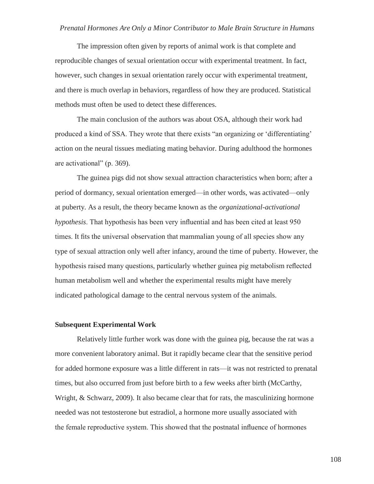The impression often given by reports of animal work is that complete and reproducible changes of sexual orientation occur with experimental treatment. In fact, however, such changes in sexual orientation rarely occur with experimental treatment, and there is much overlap in behaviors, regardless of how they are produced. Statistical methods must often be used to detect these differences.

The main conclusion of the authors was about OSA, although their work had produced a kind of SSA. They wrote that there exists "an organizing or 'differentiating' action on the neural tissues mediating mating behavior. During adulthood the hormones are activational" (p. 369).

The guinea pigs did not show sexual attraction characteristics when born; after a period of dormancy, sexual orientation emerged—in other words, was activated—only at puberty. As a result, the theory became known as the *organizational-activational hypothesis*. That hypothesis has been very influential and has been cited at least 950 times. It fits the universal observation that mammalian young of all species show any type of sexual attraction only well after infancy, around the time of puberty. However, the hypothesis raised many questions, particularly whether guinea pig metabolism reflected human metabolism well and whether the experimental results might have merely indicated pathological damage to the central nervous system of the animals.

#### **Subsequent Experimental Work**

Relatively little further work was done with the guinea pig, because the rat was a more convenient laboratory animal. But it rapidly became clear that the sensitive period for added hormone exposure was a little different in rats—it was not restricted to prenatal times, but also occurred from just before birth to a few weeks after birth (McCarthy, Wright, & Schwarz, 2009). It also became clear that for rats, the masculinizing hormone needed was not testosterone but estradiol, a hormone more usually associated with the female reproductive system. This showed that the postnatal influence of hormones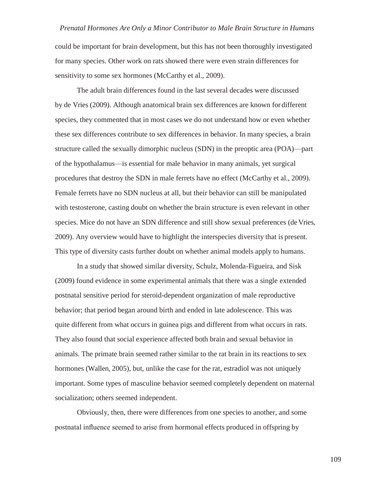could be important for brain development, but this has not been thoroughly investigated for many species. Other work on rats showed there were even strain differences for sensitivity to some sex hormones (McCarthy et al., 2009).

The adult brain differences found in the last several decades were discussed by de Vries (2009). Although anatomical brain sex differences are known for different species, they commented that in most cases we do not understand how or even whether these sex differences contribute to sex differences in behavior. In many species, a brain structure called the sexually dimorphic nucleus (SDN) in the preoptic area (POA)—part of the hypothalamus—is essential for male behavior in many animals, yet surgical procedures that destroy the SDN in male ferrets have no effect (McCarthy et al., 2009). Female ferrets have no SDN nucleus at all, but their behavior can still be manipulated with testosterone, casting doubt on whether the brain structure is even relevant in other species. Mice do not have an SDN difference and still show sexual preferences (de Vries, 2009). Any overview would have to highlight the interspecies diversity that is present. This type of diversity casts further doubt on whether animal models apply to humans.

In a study that showed similar diversity, Schulz, Molenda-Figueira, and Sisk (2009) found evidence in some experimental animals that there was a single extended postnatal sensitive period for steroid-dependent organization of male reproductive behavior; that period began around birth and ended in late adolescence. This was quite different from what occurs in guinea pigs and different from what occurs in rats. They also found that social experience affected both brain and sexual behavior in animals. The primate brain seemed rather similar to the rat brain in its reactions to sex hormones (Wallen, 2005), but, unlike the case for the rat, estradiol was not uniquely important. Some types of masculine behavior seemed completely dependent on maternal socialization; others seemed independent.

Obviously, then, there were differences from one species to another, and some postnatal influence seemed to arise from hormonal effects produced in offspring by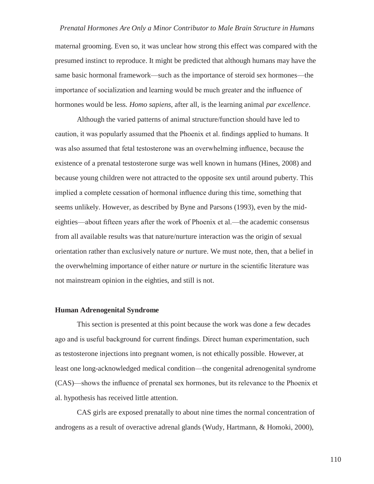maternal grooming. Even so, it was unclear how strong this effect was compared with the presumed instinct to reproduce. It might be predicted that although humans may have the same basic hormonal framework—such as the importance of steroid sex hormones—the importance of socialization and learning would be much greater and the influence of hormones would be less. *Homo sapiens*, after all, is the learning animal *par excellence*.

Although the varied patterns of animal structure/function should have led to caution, it was popularly assumed that the Phoenix et al. findings applied to humans. It was also assumed that fetal testosterone was an overwhelming influence, because the existence of a prenatal testosterone surge was well known in humans (Hines, 2008) and because young children were not attracted to the opposite sex until around puberty. This implied a complete cessation of hormonal influence during this time, something that seems unlikely. However, as described by Byne and Parsons (1993), even by the mideighties—about fifteen years after the work of Phoenix et al.—the academic consensus from all available results was that nature/nurture interaction was the origin of sexual orientation rather than exclusively nature *or* nurture. We must note, then, that a belief in the overwhelming importance of either nature *or* nurture in the scientific literature was not mainstream opinion in the eighties, and still is not.

#### **Human Adrenogenital Syndrome**

This section is presented at this point because the work was done a few decades ago and is useful background for current findings. Direct human experimentation, such as testosterone injections into pregnant women, is not ethically possible. However, at least one long-acknowledged medical condition—the congenital adrenogenital syndrome (CAS)—shows the influence of prenatal sex hormones, but its relevance to the Phoenix et al. hypothesis has received little attention.

CAS girls are exposed prenatally to about nine times the normal concentration of androgens as a result of overactive adrenal glands (Wudy, Hartmann, & Homoki, 2000),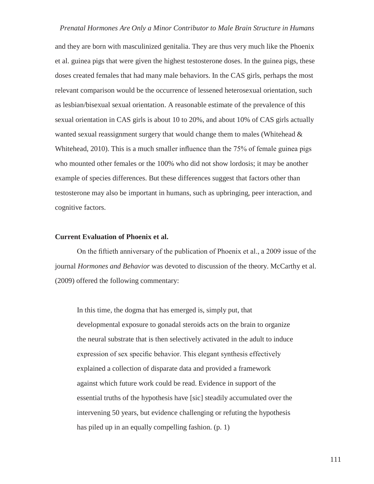and they are born with masculinized genitalia. They are thus very much like the Phoenix et al. guinea pigs that were given the highest testosterone doses. In the guinea pigs, these doses created females that had many male behaviors. In the CAS girls, perhaps the most relevant comparison would be the occurrence of lessened heterosexual orientation, such as lesbian/bisexual sexual orientation. A reasonable estimate of the prevalence of this sexual orientation in CAS girls is about 10 to 20%, and about 10% of CAS girls actually wanted sexual reassignment surgery that would change them to males (Whitehead  $\&$ Whitehead, 2010). This is a much smaller influence than the 75% of female guinea pigs who mounted other females or the 100% who did not show lordosis; it may be another example of species differences. But these differences suggest that factors other than testosterone may also be important in humans, such as upbringing, peer interaction, and cognitive factors.

# **Current Evaluation of Phoenix et al.**

On the fiftieth anniversary of the publication of Phoenix et al., a 2009 issue of the journal *Hormones and Behavior* was devoted to discussion of the theory. McCarthy et al. (2009) offered the following commentary:

In this time, the dogma that has emerged is, simply put, that developmental exposure to gonadal steroids acts on the brain to organize the neural substrate that is then selectively activated in the adult to induce expression of sex specific behavior. This elegant synthesis effectively explained a collection of disparate data and provided a framework against which future work could be read. Evidence in support of the essential truths of the hypothesis have [sic] steadily accumulated over the intervening 50 years, but evidence challenging or refuting the hypothesis has piled up in an equally compelling fashion. (p. 1)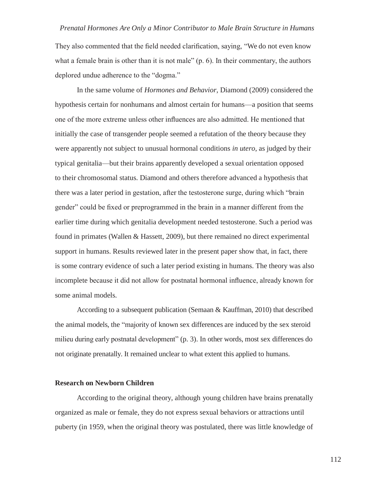They also commented that the field needed clarification, saying, "We do not even know what a female brain is other than it is not male" (p. 6). In their commentary, the authors deplored undue adherence to the "dogma."

In the same volume of *Hormones and Behavior*, Diamond (2009) considered the hypothesis certain for nonhumans and almost certain for humans—a position that seems one of the more extreme unless other influences are also admitted. He mentioned that initially the case of transgender people seemed a refutation of the theory because they were apparently not subject to unusual hormonal conditions *in utero*, as judged by their typical genitalia—but their brains apparently developed a sexual orientation opposed to their chromosomal status. Diamond and others therefore advanced a hypothesis that there was a later period in gestation, after the testosterone surge, during which "brain gender" could be fixed or preprogrammed in the brain in a manner different from the earlier time during which genitalia development needed testosterone. Such a period was found in primates (Wallen & Hassett, 2009), but there remained no direct experimental support in humans. Results reviewed later in the present paper show that, in fact, there is some contrary evidence of such a later period existing in humans. The theory was also incomplete because it did not allow for postnatal hormonal influence, already known for some animal models.

According to a subsequent publication (Semaan & Kauffman, 2010) that described the animal models, the "majority of known sex differences are induced by the sex steroid milieu during early postnatal development" (p. 3). In other words, most sex differences do not originate prenatally. It remained unclear to what extent this applied to humans.

# **Research on Newborn Children**

According to the original theory, although young children have brains prenatally organized as male or female, they do not express sexual behaviors or attractions until puberty (in 1959, when the original theory was postulated, there was little knowledge of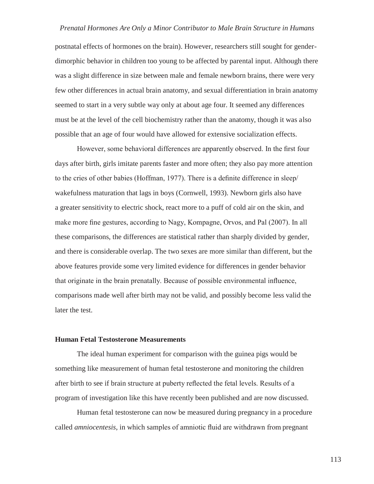postnatal effects of hormones on the brain). However, researchers still sought for genderdimorphic behavior in children too young to be affected by parental input. Although there was a slight difference in size between male and female newborn brains, there were very few other differences in actual brain anatomy, and sexual differentiation in brain anatomy seemed to start in a very subtle way only at about age four. It seemed any differences must be at the level of the cell biochemistry rather than the anatomy, though it was also possible that an age of four would have allowed for extensive socialization effects.

However, some behavioral differences are apparently observed. In the first four days after birth, girls imitate parents faster and more often; they also pay more attention to the cries of other babies (Hoffman, 1977). There is a definite difference in sleep/ wakefulness maturation that lags in boys (Cornwell, 1993). Newborn girls also have a greater sensitivity to electric shock, react more to a puff of cold air on the skin, and make more fine gestures, according to Nagy, Kompagne, Orvos, and Pal (2007). In all these comparisons, the differences are statistical rather than sharply divided by gender, and there is considerable overlap. The two sexes are more similar than different, but the above features provide some very limited evidence for differences in gender behavior that originate in the brain prenatally. Because of possible environmental influence, comparisons made well after birth may not be valid, and possibly become less valid the later the test.

# **Human Fetal Testosterone Measurements**

The ideal human experiment for comparison with the guinea pigs would be something like measurement of human fetal testosterone and monitoring the children after birth to see if brain structure at puberty reflected the fetal levels. Results of a program of investigation like this have recently been published and are now discussed.

Human fetal testosterone can now be measured during pregnancy in a procedure called *amniocentesis*, in which samples of amniotic fluid are withdrawn from pregnant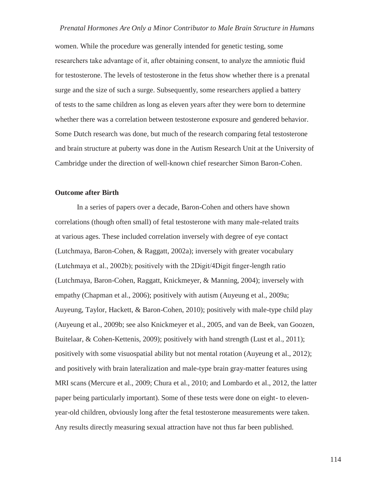women. While the procedure was generally intended for genetic testing, some researchers take advantage of it, after obtaining consent, to analyze the amniotic fluid for testosterone. The levels of testosterone in the fetus show whether there is a prenatal surge and the size of such a surge. Subsequently, some researchers applied a battery of tests to the same children as long as eleven years after they were born to determine whether there was a correlation between testosterone exposure and gendered behavior. Some Dutch research was done, but much of the research comparing fetal testosterone and brain structure at puberty was done in the Autism Research Unit at the University of Cambridge under the direction of well-known chief researcher Simon Baron-Cohen.

# **Outcome after Birth**

In a series of papers over a decade, Baron-Cohen and others have shown correlations (though often small) of fetal testosterone with many male-related traits at various ages. These included correlation inversely with degree of eye contact (Lutchmaya, Baron-Cohen, & Raggatt, 2002a); inversely with greater vocabulary (Lutchmaya et al., 2002b); positively with the 2Digit/4Digit finger-length ratio (Lutchmaya, Baron-Cohen, Raggatt, Knickmeyer, & Manning, 2004); inversely with empathy (Chapman et al., 2006); positively with autism (Auyeung et al., 2009a; Auyeung, Taylor, Hackett, & Baron-Cohen, 2010); positively with male-type child play (Auyeung et al., 2009b; see also Knickmeyer et al., 2005, and van de Beek, van Goozen, Buitelaar, & Cohen-Kettenis, 2009); positively with hand strength (Lust et al., 2011); positively with some visuospatial ability but not mental rotation (Auyeung et al., 2012); and positively with brain lateralization and male-type brain gray-matter features using MRI scans (Mercure et al., 2009; Chura et al., 2010; and Lombardo et al., 2012, the latter paper being particularly important). Some of these tests were done on eight- to elevenyear-old children, obviously long after the fetal testosterone measurements were taken. Any results directly measuring sexual attraction have not thus far been published.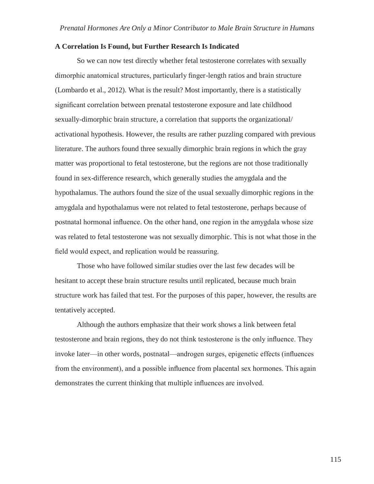#### **A Correlation Is Found, but Further Research Is Indicated**

So we can now test directly whether fetal testosterone correlates with sexually dimorphic anatomical structures, particularly finger-length ratios and brain structure (Lombardo et al., 2012). What is the result? Most importantly, there is a statistically significant correlation between prenatal testosterone exposure and late childhood sexually-dimorphic brain structure, a correlation that supports the organizational/ activational hypothesis. However, the results are rather puzzling compared with previous literature. The authors found three sexually dimorphic brain regions in which the gray matter was proportional to fetal testosterone, but the regions are not those traditionally found in sex-difference research, which generally studies the amygdala and the hypothalamus. The authors found the size of the usual sexually dimorphic regions in the amygdala and hypothalamus were not related to fetal testosterone, perhaps because of postnatal hormonal influence. On the other hand, one region in the amygdala whose size was related to fetal testosterone was not sexually dimorphic. This is not what those in the field would expect, and replication would be reassuring.

Those who have followed similar studies over the last few decades will be hesitant to accept these brain structure results until replicated, because much brain structure work has failed that test. For the purposes of this paper, however, the results are tentatively accepted.

Although the authors emphasize that their work shows a link between fetal testosterone and brain regions, they do not think testosterone is the only influence. They invoke later—in other words, postnatal—androgen surges, epigenetic effects (influences from the environment), and a possible influence from placental sex hormones. This again demonstrates the current thinking that multiple influences are involved.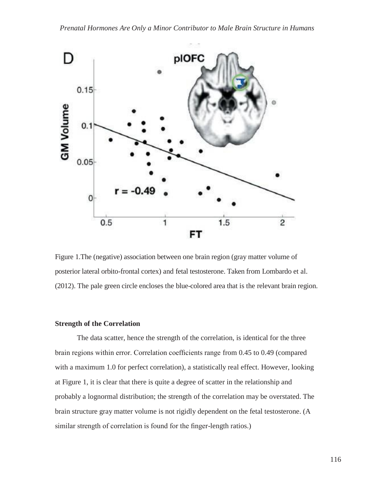

Figure 1.The (negative) association between one brain region (gray matter volume of posterior lateral orbito-frontal cortex) and fetal testosterone. Taken from Lombardo et al. (2012). The pale green circle encloses the blue-colored area that is the relevant brain region.

# **Strength of the Correlation**

The data scatter, hence the strength of the correlation, is identical for the three brain regions within error. Correlation coefficients range from 0.45 to 0.49 (compared with a maximum 1.0 for perfect correlation), a statistically real effect. However, looking at Figure 1, it is clear that there is quite a degree of scatter in the relationship and probably a lognormal distribution; the strength of the correlation may be overstated. The brain structure gray matter volume is not rigidly dependent on the fetal testosterone. (A similar strength of correlation is found for the finger-length ratios.)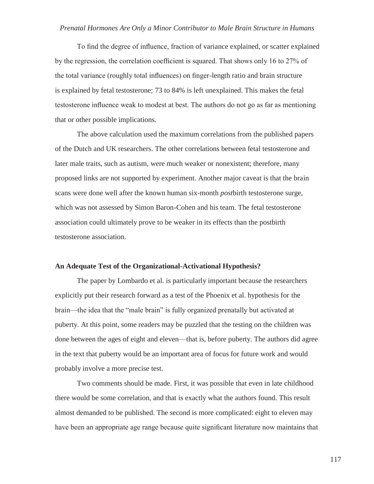To find the degree of influence, fraction of variance explained, or scatter explained by the regression, the correlation coefficient is squared. That shows only 16 to 27% of the total variance (roughly total influences) on finger-length ratio and brain structure is explained by fetal testosterone; 73 to 84% is left unexplained. This makes the fetal testosterone influence weak to modest at best. The authors do not go as far as mentioning that or other possible implications.

The above calculation used the maximum correlations from the published papers of the Dutch and UK researchers. The other correlations between fetal testosterone and later male traits, such as autism, were much weaker or nonexistent; therefore, many proposed links are not supported by experiment. Another major caveat is that the brain scans were done well after the known human six-month *post*birth testosterone surge, which was not assessed by Simon Baron-Cohen and his team. The fetal testosterone association could ultimately prove to be weaker in its effects than the postbirth testosterone association.

#### **An Adequate Test of the Organizational-Activational Hypothesis?**

The paper by Lombardo et al. is particularly important because the researchers explicitly put their research forward as a test of the Phoenix et al. hypothesis for the brain—the idea that the "male brain" is fully organized prenatally but activated at puberty. At this point, some readers may be puzzled that the testing on the children was done between the ages of eight and eleven—that is, before puberty. The authors did agree in the text that puberty would be an important area of focus for future work and would probably involve a more precise test.

Two comments should be made. First, it was possible that even in late childhood there would be some correlation, and that is exactly what the authors found. This result almost demanded to be published. The second is more complicated: eight to eleven may have been an appropriate age range because quite significant literature now maintains that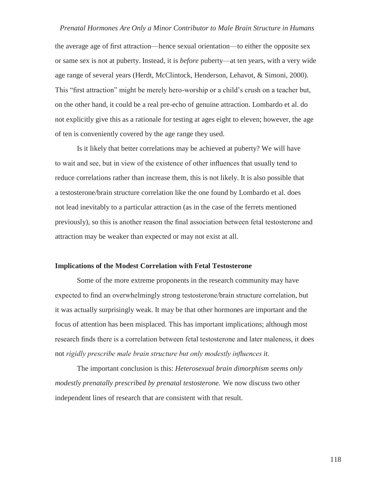the average age of first attraction—hence sexual orientation—to either the opposite sex or same sex is not at puberty. Instead, it is *before* puberty—at ten years, with a very wide age range of several years (Herdt, McClintock, Henderson, Lehavot, & Simoni, 2000). This "first attraction" might be merely hero-worship or a child's crush on a teacher but, on the other hand, it could be a real pre-echo of genuine attraction. Lombardo et al. do not explicitly give this as a rationale for testing at ages eight to eleven; however, the age of ten is conveniently covered by the age range they used.

Is it likely that better correlations may be achieved at puberty? We will have to wait and see, but in view of the existence of other influences that usually tend to reduce correlations rather than increase them, this is not likely. It is also possible that a testosterone/brain structure correlation like the one found by Lombardo et al. does not lead inevitably to a particular attraction (as in the case of the ferrets mentioned previously), so this is another reason the final association between fetal testosterone and attraction may be weaker than expected or may not exist at all.

#### **Implications of the Modest Correlation with Fetal Testosterone**

Some of the more extreme proponents in the research community may have expected to find an overwhelmingly strong testosterone/brain structure correlation, but it was actually surprisingly weak. It may be that other hormones are important and the focus of attention has been misplaced. This has important implications; although most research finds there is a correlation between fetal testosterone and later maleness, it does not *rigidly prescribe male brain structure but only modestly influences it.*

The important conclusion is this: *Heterosexual brain dimorphism seems only modestly prenatally prescribed by prenatal testosterone.* We now discuss two other independent lines of research that are consistent with that result.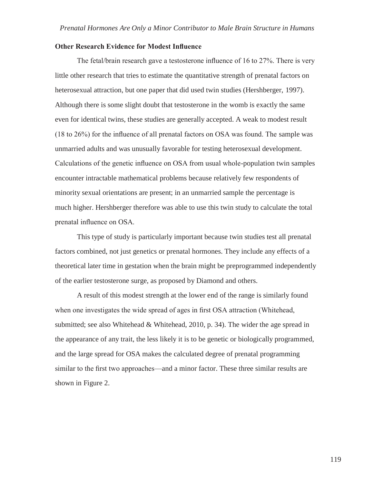#### **Other Research Evidence for Modest Influence**

The fetal/brain research gave a testosterone influence of 16 to 27%. There is very little other research that tries to estimate the quantitative strength of prenatal factors on heterosexual attraction, but one paper that did used twin studies (Hershberger, 1997). Although there is some slight doubt that testosterone in the womb is exactly the same even for identical twins, these studies are generally accepted. A weak to modest result (18 to 26%) for the influence of all prenatal factors on OSA was found. The sample was unmarried adults and was unusually favorable for testing heterosexual development. Calculations of the genetic influence on OSA from usual whole-population twin samples encounter intractable mathematical problems because relatively few respondents of minority sexual orientations are present; in an unmarried sample the percentage is much higher. Hershberger therefore was able to use this twin study to calculate the total prenatal influence on OSA.

This type of study is particularly important because twin studies test all prenatal factors combined, not just genetics or prenatal hormones. They include any effects of a theoretical later time in gestation when the brain might be preprogrammed independently of the earlier testosterone surge, as proposed by Diamond and others.

A result of this modest strength at the lower end of the range is similarly found when one investigates the wide spread of ages in first OSA attraction (Whitehead, submitted; see also Whitehead & Whitehead, 2010, p. 34). The wider the age spread in the appearance of any trait, the less likely it is to be genetic or biologically programmed, and the large spread for OSA makes the calculated degree of prenatal programming similar to the first two approaches—and a minor factor. These three similar results are shown in Figure 2.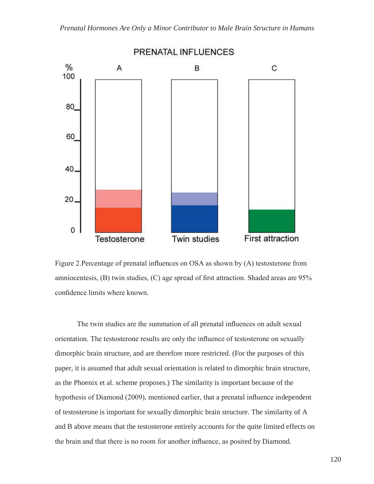

Figure 2.Percentage of prenatal influences on OSA as shown by (A) testosterone from amniocentesis, (B) twin studies, (C) age spread of first attraction. Shaded areas are 95% confidence limits where known.

The twin studies are the summation of all prenatal influences on adult sexual orientation. The testosterone results are only the influence of testosterone on sexually dimorphic brain structure, and are therefore more restricted. (For the purposes of this paper, it is assumed that adult sexual orientation is related to dimorphic brain structure, as the Phoenix et al. scheme proposes.) The similarity is important because of the hypothesis of Diamond (2009), mentioned earlier, that a prenatal influence independent of testosterone is important for sexually dimorphic brain structure. The similarity of A and B above means that the testosterone entirely accounts for the quite limited effects on the brain and that there is no room for another influence, as posited by Diamond.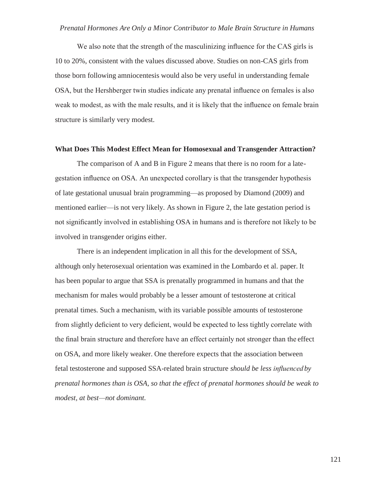We also note that the strength of the masculinizing influence for the CAS girls is 10 to 20%, consistent with the values discussed above. Studies on non-CAS girls from those born following amniocentesis would also be very useful in understanding female OSA, but the Hershberger twin studies indicate any prenatal influence on females is also weak to modest, as with the male results, and it is likely that the influence on female brain structure is similarly very modest.

#### **What Does This Modest Effect Mean for Homosexual and Transgender Attraction?**

The comparison of A and B in Figure 2 means that there is no room for a lategestation influence on OSA. An unexpected corollary is that the transgender hypothesis of late gestational unusual brain programming—as proposed by Diamond (2009) and mentioned earlier—is not very likely. As shown in Figure 2, the late gestation period is not significantly involved in establishing OSA in humans and is therefore not likely to be involved in transgender origins either.

There is an independent implication in all this for the development of SSA, although only heterosexual orientation was examined in the Lombardo et al. paper. It has been popular to argue that SSA is prenatally programmed in humans and that the mechanism for males would probably be a lesser amount of testosterone at critical prenatal times. Such a mechanism, with its variable possible amounts of testosterone from slightly deficient to very deficient, would be expected to less tightly correlate with the final brain structure and therefore have an effect certainly not stronger than the effect on OSA, and more likely weaker. One therefore expects that the association between fetal testosterone and supposed SSA-related brain structure *should be less influenced by prenatal hormones than is OSA, so that the effect of prenatal hormones should be weak to modest, at best—not dominant.*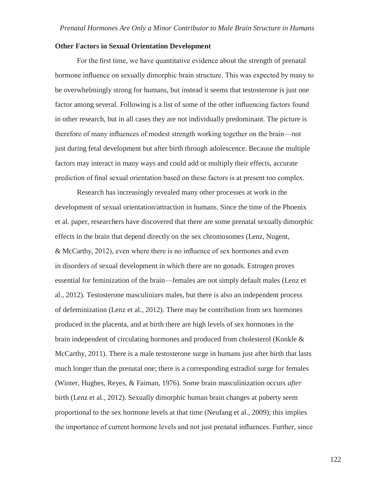# **Other Factors in Sexual Orientation Development**

For the first time, we have quantitative evidence about the strength of prenatal hormone influence on sexually dimorphic brain structure. This was expected by many to be overwhelmingly strong for humans, but instead it seems that testosterone is just one factor among several. Following is a list of some of the other influencing factors found in other research, but in all cases they are not individually predominant. The picture is therefore of many influences of modest strength working together on the brain—not just during fetal development but after birth through adolescence. Because the multiple factors may interact in many ways and could add or multiply their effects, accurate prediction of final sexual orientation based on these factors is at present too complex.

Research has increasingly revealed many other processes at work in the development of sexual orientation/attraction in humans. Since the time of the Phoenix et al. paper, researchers have discovered that there are some prenatal sexually dimorphic effects in the brain that depend directly on the sex chromosomes (Lenz, Nugent, & McCarthy, 2012), even where there is no influence of sex hormones and even in disorders of sexual development in which there are no gonads. Estrogen proves essential for feminization of the brain—females are not simply default males (Lenz et al., 2012). Testosterone masculinizes males, but there is also an independent process of defeminization (Lenz et al., 2012). There may be contribution from sex hormones produced in the placenta, and at birth there are high levels of sex hormones in the brain independent of circulating hormones and produced from cholesterol (Konkle & McCarthy, 2011). There is a male testosterone surge in humans just after birth that lasts much longer than the prenatal one; there is a corresponding estradiol surge for females (Winter, Hughes, Reyes, & Faiman, 1976). Some brain masculinization occurs *after*  birth (Lenz et al., 2012). Sexually dimorphic human brain changes at puberty seem proportional to the sex hormone levels at that time (Neufang et al., 2009); this implies the importance of current hormone levels and not just prenatal influences. Further, since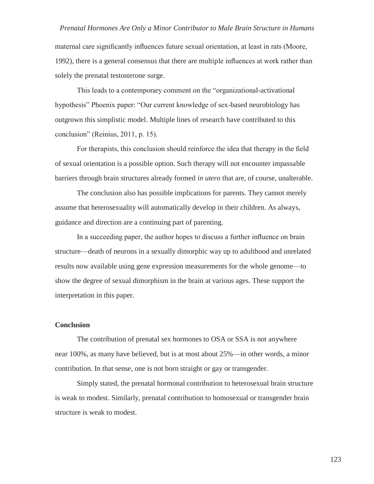maternal care significantly influences future sexual orientation, at least in rats (Moore, 1992), there is a general consensus that there are multiple influences at work rather than solely the prenatal testosterone surge.

This leads to a contemporary comment on the "organizational-activational hypothesis" Phoenix paper: "Our current knowledge of sex-based neurobiology has outgrown this simplistic model. Multiple lines of research have contributed to this conclusion" (Reinius, 2011, p. 15).

For therapists, this conclusion should reinforce the idea that therapy in the field of sexual orientation is a possible option. Such therapy will not encounter impassable barriers through brain structures already formed *in utero* that are, of course, unalterable.

The conclusion also has possible implications for parents. They cannot merely assume that heterosexuality will automatically develop in their children. As always, guidance and direction are a continuing part of parenting.

In a succeeding paper, the author hopes to discuss a further influence on brain structure—death of neurons in a sexually dimorphic way up to adulthood and unrelated results now available using gene expression measurements for the whole genome—to show the degree of sexual dimorphism in the brain at various ages. These support the interpretation in this paper.

#### **Conclusion**

The contribution of prenatal sex hormones to OSA or SSA is not anywhere near 100%, as many have believed, but is at most about 25%—in other words, a minor contribution. In that sense, one is not born straight or gay or transgender.

Simply stated, the prenatal hormonal contribution to heterosexual brain structure is weak to modest. Similarly, prenatal contribution to homosexual or transgender brain structure is weak to modest.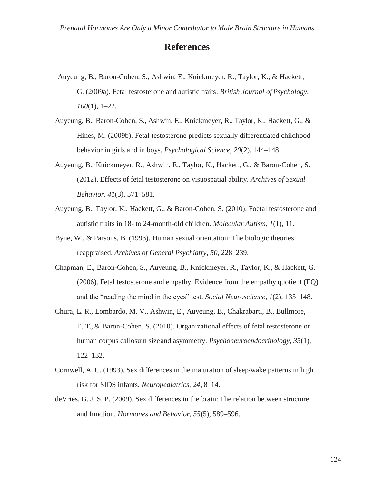# **References**

- Auyeung, B., Baron-Cohen, S., Ashwin, E., Knickmeyer, R., Taylor, K., & Hackett, G. (2009a). Fetal testosterone and autistic traits. *British Journal of Psychology, 100*(1), 1–22.
- Auyeung, B., Baron-Cohen, S., Ashwin, E., Knickmeyer, R., Taylor, K., Hackett, G., & Hines, M. (2009b). Fetal testosterone predicts sexually differentiated childhood behavior in girls and in boys. *Psychological Science, 20*(2), 144–148.
- Auyeung, B., Knickmeyer, R., Ashwin, E., Taylor, K., Hackett, G., & Baron-Cohen, S. (2012). Effects of fetal testosterone on visuospatial ability. *Archives of Sexual Behavior, 41*(3), 571–581.
- Auyeung, B., Taylor, K., Hackett, G., & Baron-Cohen, S. (2010). Foetal testosterone and autistic traits in 18- to 24-month-old children. *Molecular Autism, 1*(1), 11.
- Byne, W., & Parsons, B. (1993). Human sexual orientation: The biologic theories reappraised. *Archives of General Psychiatry, 50*, 228–239.
- Chapman, E., Baron-Cohen, S., Auyeung, B., Knickmeyer, R., Taylor, K., & Hackett, G. (2006). Fetal testosterone and empathy: Evidence from the empathy quotient (EQ) and the "reading the mind in the eyes" test. *Social Neuroscience, 1*(2), 135–148.
- Chura, L. R., Lombardo, M. V., Ashwin, E., Auyeung, B., Chakrabarti, B., Bullmore, E. T., & Baron-Cohen, S. (2010). Organizational effects of fetal testosterone on human corpus callosum sizeand asymmetry. *Psychoneuroendocrinology, 35*(1), 122–132.
- Cornwell, A. C. (1993). Sex differences in the maturation of sleep/wake patterns in high risk for SIDS infants. *Neuropediatrics, 24*, 8–14.
- deVries, G. J. S. P. (2009). Sex differences in the brain: The relation between structure and function. *Hormones and Behavior, 55*(5), 589–596.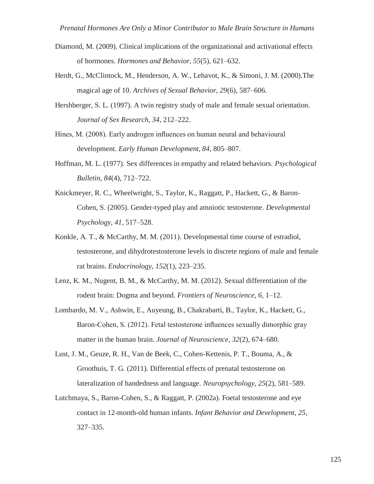- Diamond, M. (2009). Clinical implications of the organizational and activational effects of hormones. *Hormones and Behavior, 55*(5), 621–632.
- Herdt, G., McClintock, M., Henderson, A. W., Lehavot, K., & Simoni, J. M. (2000).The magical age of 10. *Archives of Sexual Behavior, 29*(6), 587–606.
- Hershberger, S. L. (1997). A twin registry study of male and female sexual orientation. *Journal of Sex Research, 34*, 212–222.
- Hines, M. (2008). Early androgen influences on human neural and behavioural development. *Early Human Development, 84*, 805–807.
- Hoffman, M. L. (1977). Sex differences in empathy and related behaviors. *Psychological Bulletin, 84*(4), 712–722.
- Knickmeyer, R. C., Wheelwright, S., Taylor, K., Raggatt, P., Hackett, G., & Baron-Cohen, S. (2005). Gender-typed play and amniotic testosterone. *Developmental Psychology, 41*, 517–528.
- Konkle, A. T., & McCarthy, M. M. (2011). Developmental time course of estradiol, testosterone, and dihydrotestosterone levels in discrete regions of male and female rat brains. *Endocrinology, 152*(1), 223–235.
- Lenz, K. M., Nugent, B. M., & McCarthy, M. M. (2012). Sexual differentiation of the rodent brain: Dogma and beyond. *Frontiers of Neuroscience, 6*, 1–12.
- Lombardo, M. V., Ashwin, E., Auyeung, B., Chakrabarti, B., Taylor, K., Hackett, G., Baron-Cohen, S. (2012). Fetal testosterone influences sexually dimorphic gray matter in the human brain. *Journal of Neuroscience, 32*(2), 674–680.
- Lust, J. M., Geuze, R. H., Van de Beek, C., Cohen-Kettenis, P. T., Bouma, A., & Groothuis, T. G. (2011). Differential effects of prenatal testosterone on lateralization of handedness and language. *Neuropsychology, 25*(2), 581–589.
- Lutchmaya, S., Baron-Cohen, S., & Raggatt, P. (2002a). Foetal testosterone and eye contact in 12-month-old human infants. *Infant Behavior and Development, 25*, 327–335.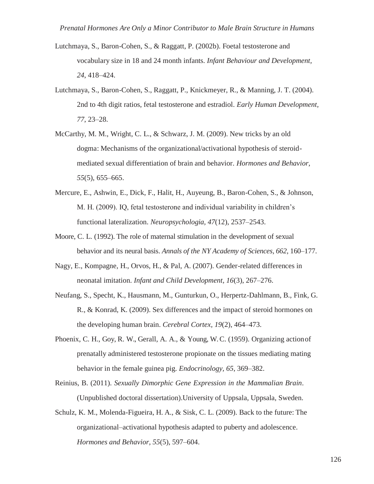- Lutchmaya, S., Baron-Cohen, S., & Raggatt, P. (2002b). Foetal testosterone and vocabulary size in 18 and 24 month infants. *Infant Behaviour and Development, 24*, 418–424.
- Lutchmaya, S., Baron-Cohen, S., Raggatt, P., Knickmeyer, R., & Manning, J. T. (2004). 2nd to 4th digit ratios, fetal testosterone and estradiol. *Early Human Development, 77*, 23–28.
- McCarthy, M. M., Wright, C. L., & Schwarz, J. M. (2009). New tricks by an old dogma: Mechanisms of the organizational/activational hypothesis of steroidmediated sexual differentiation of brain and behavior. *Hormones and Behavior, 55*(5), 655–665.
- Mercure, E., Ashwin, E., Dick, F., Halit, H., Auyeung, B., Baron-Cohen, S., & Johnson, M. H. (2009). IQ, fetal testosterone and individual variability in children's functional lateralization. *Neuropsychologia, 47*(12), 2537–2543.
- Moore, C. L. (1992). The role of maternal stimulation in the development of sexual behavior and its neural basis. *Annals of the NY Academy of Sciences, 662*, 160–177.
- Nagy, E., Kompagne, H., Orvos, H., & Pal, A. (2007). Gender-related differences in neonatal imitation. *Infant and Child Development, 16*(3), 267–276.
- Neufang, S., Specht, K., Hausmann, M., Gunturkun, O., Herpertz-Dahlmann, B., Fink, G. R., & Konrad, K. (2009). Sex differences and the impact of steroid hormones on the developing human brain. *Cerebral Cortex, 19*(2), 464–473.
- Phoenix, C. H., Goy, R. W., Gerall, A. A., & Young, W. C. (1959). Organizing actionof prenatally administered testosterone propionate on the tissues mediating mating behavior in the female guinea pig. *Endocrinology, 65*, 369–382.
- Reinius, B. (2011). *Sexually Dimorphic Gene Expression in the Mammalian Brain*. (Unpublished doctoral dissertation).University of Uppsala, Uppsala, Sweden.
- Schulz, K. M., Molenda-Figueira, H. A., & Sisk, C. L. (2009). Back to the future: The organizational–activational hypothesis adapted to puberty and adolescence. *Hormones and Behavior, 55*(5), 597–604.